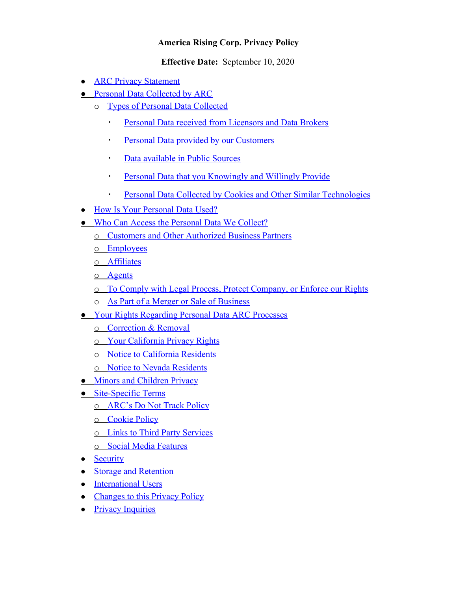# **America Rising Corp. Privacy Policy**

**Effective Date:** September 10, 2020

- **[ARC Privacy Statement](#page-1-0)**
- **[Personal Data Collected by ARC](#page-1-1)** 
	- o [Types of Personal Data Collected](#page-1-2)
		- **[Personal Data received from Licensors and Data Brokers](#page-1-3)**
		- **[Personal Data provided by our Customers](#page-1-3)**
		- **Example 12 [Data available in Public Sources](#page-1-4)**
		- **[Personal Data that you Knowingly and Willingly Provide](#page-1-4)**
		- **[Personal Data Collected by Cookies and Other Similar Technologies](#page-1-5)**
- [How Is Your Personal Data Used?](#page-1-6)
- [Who Can Access the Personal Data We Collect?](#page-2-0)
	- o [Customers and Other Authorized Business Partners](#page-3-0)
	- o [Employees](#page-3-1)
	- o [Affiliates](#page-3-2)
	- o [Agents](#page-3-3)
	- o [To Comply with Legal Process, Protect Company, or Enforce our Rights](#page-3-4)
	- o [As Part of a Merger or Sale of Business](#page-3-5)
- [Your Rights Regarding Personal Data ARC Processes](#page-3-6)
	- o [Correction & Removal](#page-3-7)
	- o [Your California Privacy Rights](#page-3-8)
	- o [Notice to California Residents](#page-3-9)
	- o [Notice to Nevada Residents](#page-4-0)
- [Minors and Children Privacy](#page-4-0)
- [Site-Specific Terms](#page-4-1)
	- o **[ARC's Do Not Track Policy](#page-4-2)**
	- o [Cookie Policy](#page-4-3)
	- o [Links to Third Party Services](#page-4-4)
	- o [Social Media Features](#page-4-5)
- [Security](#page-5-0)
- [Storage and Retention](#page-5-1)
- [International Users](#page-5-2)
- [Changes to this Privacy Policy](#page-6-0)
- [Privacy Inquiries](#page-6-1)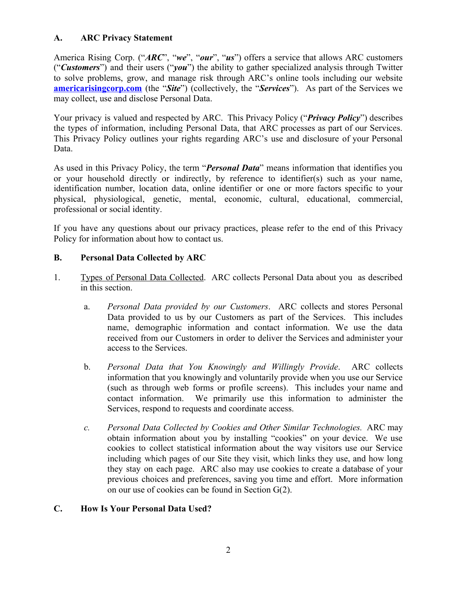# <span id="page-1-0"></span>**A. ARC Privacy Statement**

America Rising Corp. ("*ARC*", "*we*", "*our*", "*us*") offers a service that allows ARC customers ("*Customers*") and their users ("*you*") the ability to gather specialized analysis through Twitter to solve problems, grow, and manage risk through ARC's online tools including our website **[americarisingcorp.com](https://americarisingcorp.com/)** (the "*Site*") (collectively, the "*Services*"). As part of the Services we may collect, use and disclose Personal Data.

Your privacy is valued and respected by ARC. This Privacy Policy ("*Privacy Policy*") describes the types of information, including Personal Data, that ARC processes as part of our Services. This Privacy Policy outlines your rights regarding ARC's use and disclosure of your Personal Data.

As used in this Privacy Policy, the term "*Personal Data*" means information that identifies you or your household directly or indirectly, by reference to identifier(s) such as your name, identification number, location data, online identifier or one or more factors specific to your physical, physiological, genetic, mental, economic, cultural, educational, commercial, professional or social identity.

If you have any questions about our privacy practices, please refer to the end of this Privacy Policy for information about how to contact us.

# <span id="page-1-1"></span>**B. Personal Data Collected by ARC**

- <span id="page-1-4"></span><span id="page-1-3"></span><span id="page-1-2"></span>1. Types of Personal Data Collected. ARC collects Personal Data about you as described in this section.
	- a. *Personal Data provided by our Customers*. ARC collects and stores Personal Data provided to us by our Customers as part of the Services. This includes name, demographic information and contact information. We use the data received from our Customers in order to deliver the Services and administer your access to the Services.
	- b. *Personal Data that You Knowingly and Willingly Provide*. ARC collects information that you knowingly and voluntarily provide when you use our Service (such as through web forms or profile screens). This includes your name and contact information. We primarily use this information to administer the Services, respond to requests and coordinate access.
	- *c. Personal Data Collected by Cookies and Other Similar Technologies.* ARC may obtain information about you by installing "cookies" on your device. We use cookies to collect statistical information about the way visitors use our Service including which pages of our Site they visit, which links they use, and how long they stay on each page. ARC also may use cookies to create a database of your previous choices and preferences, saving you time and effort. More information on our use of cookies can be found in Section G(2).

# <span id="page-1-6"></span><span id="page-1-5"></span>**C. How Is Your Personal Data Used?**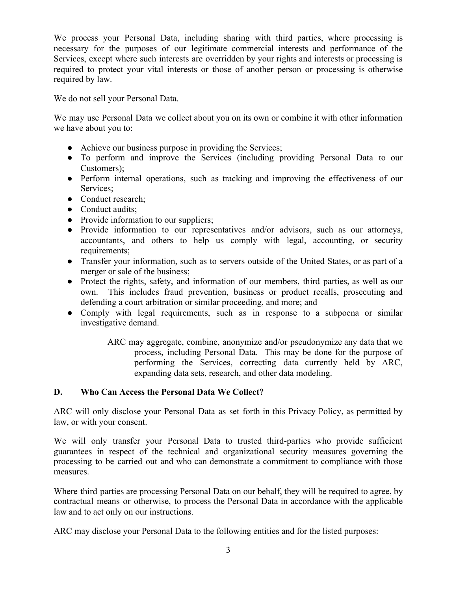We process your Personal Data, including sharing with third parties, where processing is necessary for the purposes of our legitimate commercial interests and performance of the Services, except where such interests are overridden by your rights and interests or processing is required to protect your vital interests or those of another person or processing is otherwise required by law.

We do not sell your Personal Data.

We may use Personal Data we collect about you on its own or combine it with other information we have about you to:

- Achieve our business purpose in providing the Services;
- To perform and improve the Services (including providing Personal Data to our Customers);
- Perform internal operations, such as tracking and improving the effectiveness of our Services;
- Conduct research:
- Conduct audits;
- Provide information to our suppliers;
- Provide information to our representatives and/or advisors, such as our attorneys, accountants, and others to help us comply with legal, accounting, or security requirements;
- Transfer your information, such as to servers outside of the United States, or as part of a merger or sale of the business;
- Protect the rights, safety, and information of our members, third parties, as well as our own. This includes fraud prevention, business or product recalls, prosecuting and defending a court arbitration or similar proceeding, and more; and
- Comply with legal requirements, such as in response to a subpoena or similar investigative demand.
	- ARC may aggregate, combine, anonymize and/or pseudonymize any data that we process, including Personal Data. This may be done for the purpose of performing the Services, correcting data currently held by ARC, expanding data sets, research, and other data modeling.

# <span id="page-2-0"></span>**D. Who Can Access the Personal Data We Collect?**

ARC will only disclose your Personal Data as set forth in this Privacy Policy, as permitted by law, or with your consent.

We will only transfer your Personal Data to trusted third-parties who provide sufficient guarantees in respect of the technical and organizational security measures governing the processing to be carried out and who can demonstrate a commitment to compliance with those measures.

Where third parties are processing Personal Data on our behalf, they will be required to agree, by contractual means or otherwise, to process the Personal Data in accordance with the applicable law and to act only on our instructions.

ARC may disclose your Personal Data to the following entities and for the listed purposes: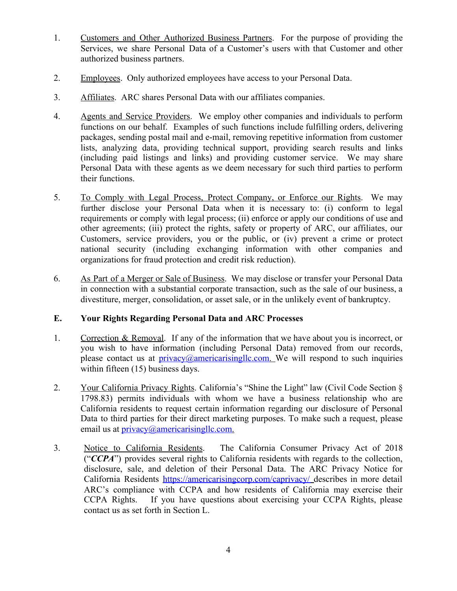- <span id="page-3-0"></span>1. Customers and Other Authorized Business Partners. For the purpose of providing the Services, we share Personal Data of a Customer's users with that Customer and other authorized business partners.
- <span id="page-3-1"></span>2. Employees. Only authorized employees have access to your Personal Data.
- <span id="page-3-2"></span>3. Affiliates. ARC shares Personal Data with our affiliates companies.
- <span id="page-3-3"></span>4. Agents and Service Providers. We employ other companies and individuals to perform functions on our behalf. Examples of such functions include fulfilling orders, delivering packages, sending postal mail and e-mail, removing repetitive information from customer lists, analyzing data, providing technical support, providing search results and links (including paid listings and links) and providing customer service. We may share Personal Data with these agents as we deem necessary for such third parties to perform their functions.
- <span id="page-3-4"></span>5. To Comply with Legal Process, Protect Company, or Enforce our Rights. We may further disclose your Personal Data when it is necessary to: (i) conform to legal requirements or comply with legal process; (ii) enforce or apply our conditions of use and other agreements; (iii) protect the rights, safety or property of ARC, our affiliates, our Customers, service providers, you or the public, or (iv) prevent a crime or protect national security (including exchanging information with other companies and organizations for fraud protection and credit risk reduction).
- <span id="page-3-5"></span>6. As Part of a Merger or Sale of Business. We may disclose or transfer your Personal Data in connection with a substantial corporate transaction, such as the sale of our business, a divestiture, merger, consolidation, or asset sale, or in the unlikely event of bankruptcy.

# <span id="page-3-6"></span>**E. Your Rights Regarding Personal Data and ARC Processes**

- <span id="page-3-7"></span>1. Correction & Removal. If any of the information that we have about you is incorrect, or you wish to have information (including Personal Data) removed from our records, please contact us at  $\text{privacy}(\widehat{\mathcal{Q}}_a$  mericarisingle.com. We will respond to such inquiries within fifteen (15) business days.
- <span id="page-3-8"></span>2. Your California Privacy Rights. California's "Shine the Light" law (Civil Code Section § 1798.83) permits individuals with whom we have a business relationship who are California residents to request certain information regarding our disclosure of Personal Data to third parties for their direct marketing purposes. To make such a request, please email us at [privacy@americarisingllc.com.](mailto:privacy@americarisingllc.com)
- <span id="page-3-9"></span>3. Notice to California Residents. The California Consumer Privacy Act of 2018 ("*CCPA*") provides several rights to California residents with regards to the collection, disclosure, sale, and deletion of their Personal Data. The ARC Privacy Notice for California Residents <https://americarisingcorp.com/caprivacy/> describes in more detail ARC's compliance with CCPA and how residents of California may exercise their CCPA Rights. If you have questions about exercising your CCPA Rights, please contact us as set forth in Section L.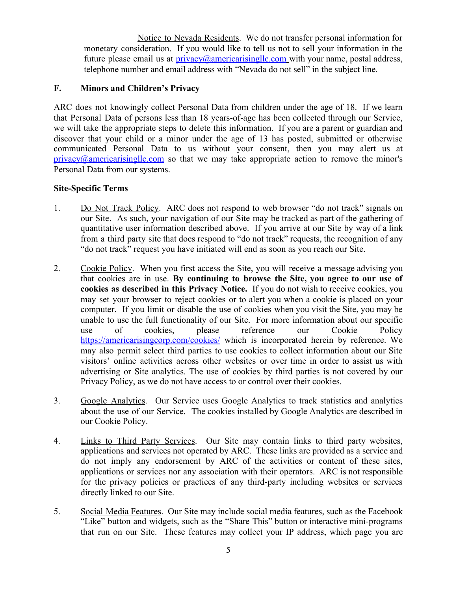<span id="page-4-0"></span>Notice to Nevada Residents. We do not transfer personal information for monetary consideration. If you would like to tell us not to sell your information in the future please email us at  $\text{privacy}(\widehat{\omega}_a)$  americarisinglic.com with your name, postal address, telephone number and email address with "Nevada do not sell" in the subject line.

### **F. Minors and Children's Privacy**

ARC does not knowingly collect Personal Data from children under the age of 18. If we learn that Personal Data of persons less than 18 years-of-age has been collected through our Service, we will take the appropriate steps to delete this information. If you are a parent or guardian and discover that your child or a minor under the age of 13 has posted, submitted or otherwise communicated Personal Data to us without your consent, then you may alert us at  $\frac{\text{privacy}(\hat{\omega} \text{americarising}|| \text{c.com}}{\text{com}}$  so that we may take appropriate action to remove the minor's Personal Data from our systems.

### <span id="page-4-1"></span>**Site-Specific Terms**

- <span id="page-4-2"></span>1. Do Not Track Policy. ARC does not respond to web browser "do not track" signals on our Site. As such, your navigation of our Site may be tracked as part of the gathering of quantitative user information described above. If you arrive at our Site by way of a link from a third party site that does respond to "do not track" requests, the recognition of any "do not track" request you have initiated will end as soon as you reach our Site.
- <span id="page-4-3"></span>2. Cookie Policy. When you first access the Site, you will receive a message advising you that cookies are in use. **By continuing to browse the Site, you agree to our use of cookies as described in this Privacy Notice.** If you do not wish to receive cookies, you may set your browser to reject cookies or to alert you when a cookie is placed on your computer. If you limit or disable the use of cookies when you visit the Site, you may be unable to use the full functionality of our Site. For more information about our specific use of cookies, please reference our Cookie Policy <https://americarisingcorp.com/cookies/> which is incorporated herein by reference. We may also permit select third parties to use cookies to collect information about our Site visitors' online activities across other websites or over time in order to assist us with advertising or Site analytics. The use of cookies by third parties is not covered by our Privacy Policy, as we do not have access to or control over their cookies.
- <span id="page-4-4"></span>3. Google Analytics. Our Service uses Google Analytics to track statistics and analytics about the use of our Service. The cookies installed by Google Analytics are described in our Cookie Policy.
- 4. Links to Third Party Services. Our Site may contain links to third party websites, applications and services not operated by ARC. These links are provided as a service and do not imply any endorsement by ARC of the activities or content of these sites, applications or services nor any association with their operators. ARC is not responsible for the privacy policies or practices of any third-party including websites or services directly linked to our Site.
- <span id="page-4-5"></span>5. Social Media Features. Our Site may include social media features, such as the Facebook "Like" button and widgets, such as the "Share This" button or interactive mini-programs that run on our Site. These features may collect your IP address, which page you are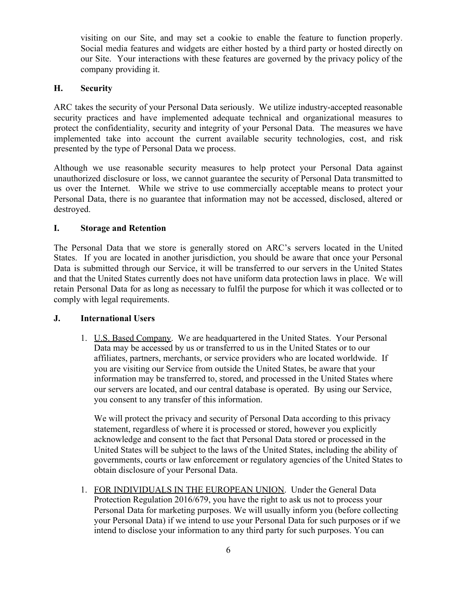visiting on our Site, and may set a cookie to enable the feature to function properly. Social media features and widgets are either hosted by a third party or hosted directly on our Site. Your interactions with these features are governed by the privacy policy of the company providing it.

# <span id="page-5-0"></span>**H. Security**

ARC takes the security of your Personal Data seriously. We utilize industry-accepted reasonable security practices and have implemented adequate technical and organizational measures to protect the confidentiality, security and integrity of your Personal Data. The measures we have implemented take into account the current available security technologies, cost, and risk presented by the type of Personal Data we process.

Although we use reasonable security measures to help protect your Personal Data against unauthorized disclosure or loss, we cannot guarantee the security of Personal Data transmitted to us over the Internet. While we strive to use commercially acceptable means to protect your Personal Data, there is no guarantee that information may not be accessed, disclosed, altered or destroyed.

# <span id="page-5-1"></span>**I. Storage and Retention**

The Personal Data that we store is generally stored on ARC's servers located in the United States. If you are located in another jurisdiction, you should be aware that once your Personal Data is submitted through our Service, it will be transferred to our servers in the United States and that the United States currently does not have uniform data protection laws in place. We will retain Personal Data for as long as necessary to fulfil the purpose for which it was collected or to comply with legal requirements.

# <span id="page-5-2"></span>**J. International Users**

1. U.S. Based Company. We are headquartered in the United States. Your Personal Data may be accessed by us or transferred to us in the United States or to our affiliates, partners, merchants, or service providers who are located worldwide. If you are visiting our Service from outside the United States, be aware that your information may be transferred to, stored, and processed in the United States where our servers are located, and our central database is operated. By using our Service, you consent to any transfer of this information.

We will protect the privacy and security of Personal Data according to this privacy statement, regardless of where it is processed or stored, however you explicitly acknowledge and consent to the fact that Personal Data stored or processed in the United States will be subject to the laws of the United States, including the ability of governments, courts or law enforcement or regulatory agencies of the United States to obtain disclosure of your Personal Data.

1. FOR INDIVIDUALS IN THE EUROPEAN UNION. Under the General Data Protection Regulation 2016/679, you have the right to ask us not to process your Personal Data for marketing purposes. We will usually inform you (before collecting your Personal Data) if we intend to use your Personal Data for such purposes or if we intend to disclose your information to any third party for such purposes. You can